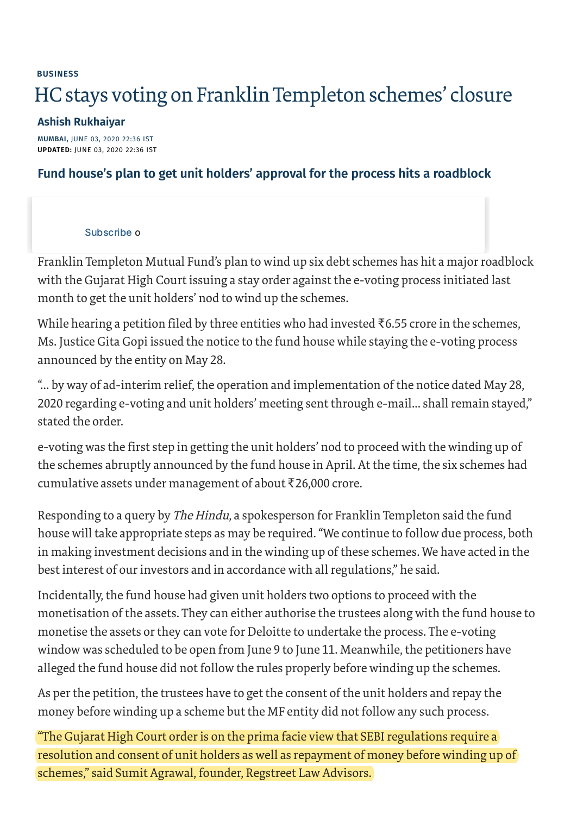## **[BUSINESS](https://www.thehindu.com/business/)** HC stays voting on Franklin Templeton schemes' closure

## **[Ashish Rukhaiyar](https://www.thehindu.com/profile/author/Ashish-Rukhaiyar-365/)**

**MUMBAI,** JUNE 03, 2020 22:36 IST **UPDATED:** JUNE 03, 2020 22:36 IST

## **Fund house's plan to get unit holders' approval for the process hits a roadblock**

## [Subscribe](https://www.thehindu.com/subscription/?_ptid=%7Bjcx%7DH4sIAAAAAAAAAI2Ry27CMBBF_8VrLNmO7STe0QoECJGCeLU7x3ES07xfIFX99yZRaYXURb2y59wzGo0_gDQBEMAqq7Ruy5eiBRNQyEgfjb4uB0IQwRAxiDHEFLL-zqHLbLihHtuty1evxW_L6y6GhISccBYyNyQqUI5vO06INCUsCGXgk76xvhW6MjpTemw9O2_o03m1IofT9oHOblq1jcmzMYZ9ivIMIVND1B_SyjLzI6e7hJc4N_i9Kuw6f_Cn6keu4_y612mRyEaf1p5nu3xNKUeWzXollvUdAtFUrZ6A5vs92t5-g-fz7XzB0QL8sqOsjMyaIZK1STIBSqaFNFFW3wudqc3IQQf_3CAnMKlOlC4rlHeHQzd93v5ng6YYvoQiJgjCQgmGHC18V1uCKIUFti0piA79PtrWuppGOmt6I0jVMH6TAIE5QQ7GhNufX7JvASH9AQAA) o

Franklin Templeton Mutual Fund's plan to wind up six debt schemes has hit a major roadblock with the Gujarat High Court issuing a stay order against the e-voting process initiated last month to get the unit holders' nod to wind up the schemes.

While hearing a petition filed by three entities who had invested  $\bar{\tau}$ 6.55 crore in the schemes, Ms. Justice Gita Gopi issued the notice to the fund house while staying the e-voting process announced by the entity on May 28.

"... by way of ad-interim relief, the operation and implementation of the notice dated May 28, 2020 regarding e-voting and unit holders' meeting sent through e-mail... shall remain stayed," stated the order.

e-voting was the first step in getting the unit holders' nod to proceed with the winding up of the schemes abruptly announced by the fund house in April. At the time, the six schemes had cumulative assets under management of about ₹26,000 crore.

Responding to a query by *The Hindu*, a spokesperson for Franklin Templeton said the fund house will take appropriate steps as may be required. "We continue to follow due process, both in making investment decisions and in the winding up of these schemes. We have acted in the best interest of our investors and in accordance with all regulations," he said.

Incidentally, the fund house had given unit holders two options to proceed with the monetisation of the assets. They can either authorise the trustees along with the fund house to monetise the assets or they can vote for Deloitte to undertake the process. The e-voting window was scheduled to be open from June 9 to June 11. Meanwhile, the petitioners have alleged the fund house did not follow the rules properly before winding up the schemes.

As per the petition, the trustees have to get the consent of the unit holders and repay the money before winding up a scheme but the MF entity did not follow any such process.

"The Gujarat High Court order is on the prima facie view that SEBI regulations require a resolution and consent of unit holders as well as repayment of money before winding up of schemes," said Sumit Agrawal, founder, Regstreet Law Advisors.